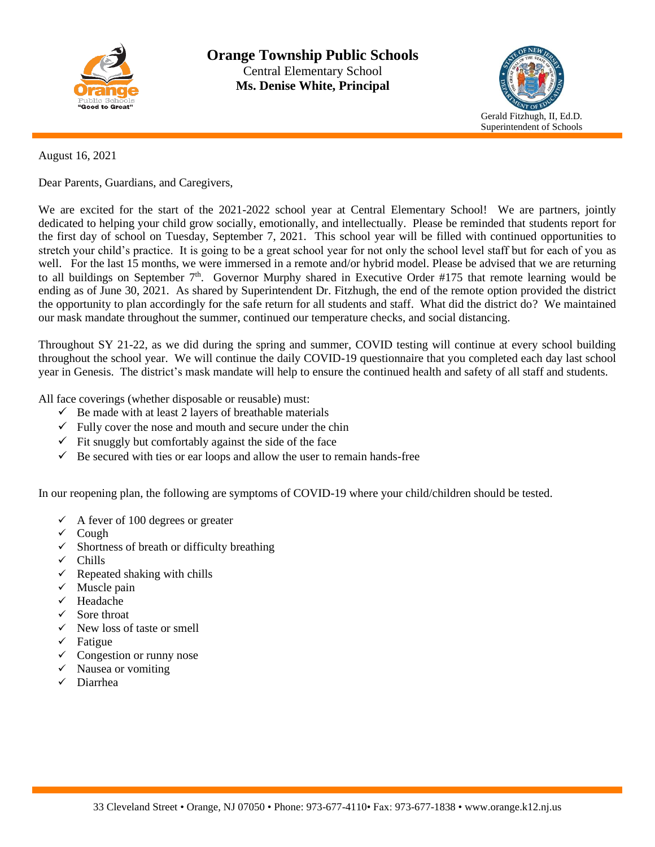



### August 16, 2021

Dear Parents, Guardians, and Caregivers,

We are excited for the start of the 2021-2022 school year at Central Elementary School! We are partners, jointly dedicated to helping your child grow socially, emotionally, and intellectually. Please be reminded that students report for the first day of school on Tuesday, September 7, 2021. This school year will be filled with continued opportunities to stretch your child's practice. It is going to be a great school year for not only the school level staff but for each of you as well. For the last 15 months, we were immersed in a remote and/or hybrid model. Please be advised that we are returning to all buildings on September 7<sup>th</sup>. Governor Murphy shared in Executive Order #175 that remote learning would be ending as of June 30, 2021. As shared by Superintendent Dr. Fitzhugh, the end of the remote option provided the district the opportunity to plan accordingly for the safe return for all students and staff. What did the district do? We maintained our mask mandate throughout the summer, continued our temperature checks, and social distancing.

Throughout SY 21-22, as we did during the spring and summer, COVID testing will continue at every school building throughout the school year. We will continue the daily COVID-19 questionnaire that you completed each day last school year in Genesis. The district's mask mandate will help to ensure the continued health and safety of all staff and students.

All face coverings (whether disposable or reusable) must:

- $\checkmark$  Be made with at least 2 layers of breathable materials
- $\checkmark$  Fully cover the nose and mouth and secure under the chin
- $\checkmark$  Fit snuggly but comfortably against the side of the face
- $\checkmark$  Be secured with ties or ear loops and allow the user to remain hands-free

In our reopening plan, the following are symptoms of COVID-19 where your child/children should be tested.

- $\checkmark$  A fever of 100 degrees or greater
- ✓ Cough
- $\checkmark$  Shortness of breath or difficulty breathing
- ✓ Chills
- $\checkmark$  Repeated shaking with chills
- $\checkmark$  Muscle pain
- ✓ Headache
- ✓ Sore throat
- $\checkmark$  New loss of taste or smell
- ✓ Fatigue
- $\checkmark$  Congestion or runny nose
- ✓ Nausea or vomiting
- ✓ Diarrhea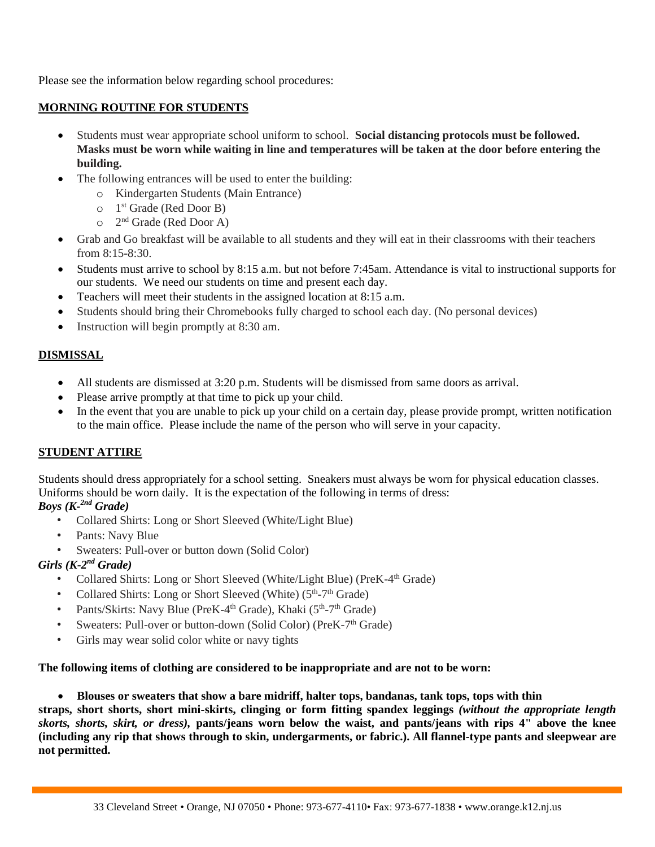Please see the information below regarding school procedures:

### **MORNING ROUTINE FOR STUDENTS**

- Students must wear appropriate school uniform to school. **Social distancing protocols must be followed. Masks must be worn while waiting in line and temperatures will be taken at the door before entering the building.**
- The following entrances will be used to enter the building:
	- o Kindergarten Students (Main Entrance)
	- o 1 st Grade (Red Door B)
	- o 2 nd Grade (Red Door A)
- Grab and Go breakfast will be available to all students and they will eat in their classrooms with their teachers from 8:15-8:30.
- Students must arrive to school by 8:15 a.m. but not before 7:45am. Attendance is vital to instructional supports for our students. We need our students on time and present each day.
- Teachers will meet their students in the assigned location at 8:15 a.m.
- Students should bring their Chromebooks fully charged to school each day. (No personal devices)
- Instruction will begin promptly at 8:30 am.

## **DISMISSAL**

- All students are dismissed at 3:20 p.m. Students will be dismissed from same doors as arrival.
- Please arrive promptly at that time to pick up your child.
- In the event that you are unable to pick up your child on a certain day, please provide prompt, written notification to the main office. Please include the name of the person who will serve in your capacity.

## **STUDENT ATTIRE**

Students should dress appropriately for a school setting. Sneakers must always be worn for physical education classes. Uniforms should be worn daily. It is the expectation of the following in terms of dress:

## *Boys (K-2nd Grade)*

- Collared Shirts: Long or Short Sleeved (White/Light Blue)
- Pants: Navy Blue
- Sweaters: Pull-over or button down (Solid Color)

## *Girls (K-2 nd Grade)*

- Collared Shirts: Long or Short Sleeved (White/Light Blue) (PreK-4<sup>th</sup> Grade)
- Collared Shirts: Long or Short Sleeved (White) (5<sup>th</sup>-7<sup>th</sup> Grade)
- Pants/Skirts: Navy Blue (PreK-4<sup>th</sup> Grade), Khaki ( $5<sup>th</sup>$ -7<sup>th</sup> Grade)
- Sweaters: Pull-over or button-down (Solid Color) (PreK-7<sup>th</sup> Grade)
- Girls may wear solid color white or navy tights

## **The following items of clothing are considered to be inappropriate and are not to be worn:**

# • **Blouses or sweaters that show a bare midriff, halter tops, bandanas, tank tops, tops with thin straps, short shorts, short mini-skirts, clinging or form fitting spandex leggings** *(without the appropriate length*

*skorts, shorts, skirt, or dress),* **pants/jeans worn below the waist, and pants/jeans with rips 4" above the knee (including any rip that shows through to skin, undergarments, or fabric.). All flannel-type pants and sleepwear are not permitted.**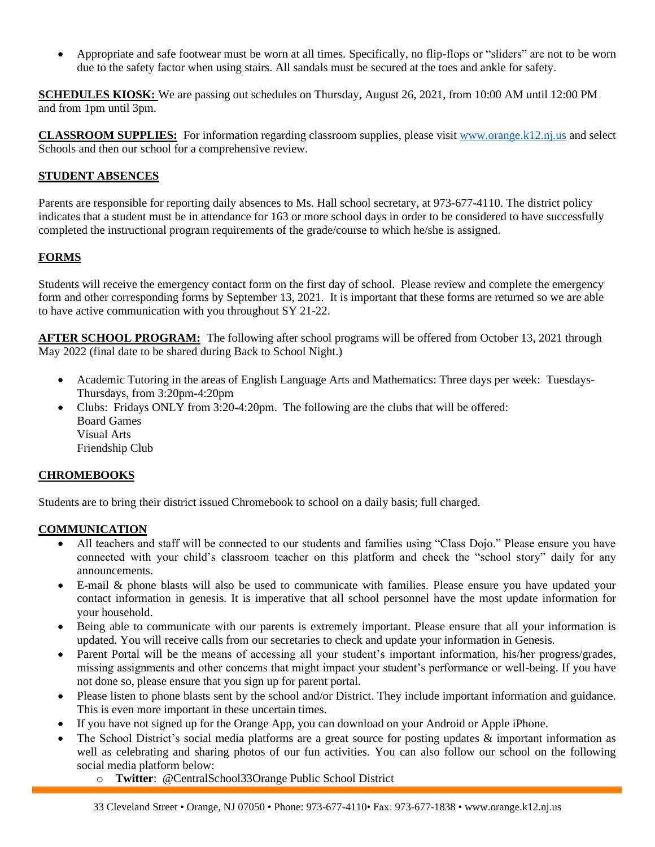• Appropriate and safe footwear must be worn at all times. Specifically, no flip-flops or "sliders" are not to be worn due to the safety factor when using stairs. All sandals must be secured at the toes and ankle for safety.

**SCHEDULES KIOSK:** We are passing out schedules on Thursday, August 26, 2021, from 10:00 AM until 12:00 PM and from 1pm until 3pm.

**CLASSROOM SUPPLIES:** For information regarding classroom supplies, please visit [www.orange.k12.nj.us](http://www.orange.k12.nj.us/) and select Schools and then our school for a comprehensive review.

## **STUDENT ABSENCES**

Parents are responsible for reporting daily absences to Ms. Hall school secretary, at 973-677-4110. The district policy indicates that a student must be in attendance for 163 or more school days in order to be considered to have successfully completed the instructional program requirements of the grade/course to which he/she is assigned.

## **FORMS**

Students will receive the emergency contact form on the first day of school. Please review and complete the emergency form and other corresponding forms by September 13, 2021. It is important that these forms are returned so we are able to have active communication with you throughout SY 21-22.

**AFTER SCHOOL PROGRAM:** The following after school programs will be offered from October 13, 2021 through May 2022 (final date to be shared during Back to School Night.)

- Academic Tutoring in the areas of English Language Arts and Mathematics: Three days per week: Tuesdays-Thursdays, from 3:20pm-4:20pm
- Clubs: Fridays ONLY from 3:20-4:20pm. The following are the clubs that will be offered: Board Games Visual Arts Friendship Club

### **CHROMEBOOKS**

Students are to bring their district issued Chromebook to school on a daily basis; full charged.

## **COMMUNICATION**

- All teachers and staff will be connected to our students and families using "Class Dojo." Please ensure you have connected with your child's classroom teacher on this platform and check the "school story" daily for any announcements.
- E-mail & phone blasts will also be used to communicate with families. Please ensure you have updated your contact information in genesis. It is imperative that all school personnel have the most update information for your household.
- Being able to communicate with our parents is extremely important. Please ensure that all your information is updated. You will receive calls from our secretaries to check and update your information in Genesis.
- Parent Portal will be the means of accessing all your student's important information, his/her progress/grades, missing assignments and other concerns that might impact your student's performance or well-being. If you have not done so, please ensure that you sign up for parent portal.
- Please listen to phone blasts sent by the school and/or District. They include important information and guidance. This is even more important in these uncertain times.
- If you have not signed up for the Orange App, you can download on your Android or Apple iPhone.
- The School District's social media platforms are a great source for posting updates  $\&$  important information as well as celebrating and sharing photos of our fun activities. You can also follow our school on the following social media platform below:
	- o **Twitter**: @CentralSchool33Orange Public School District